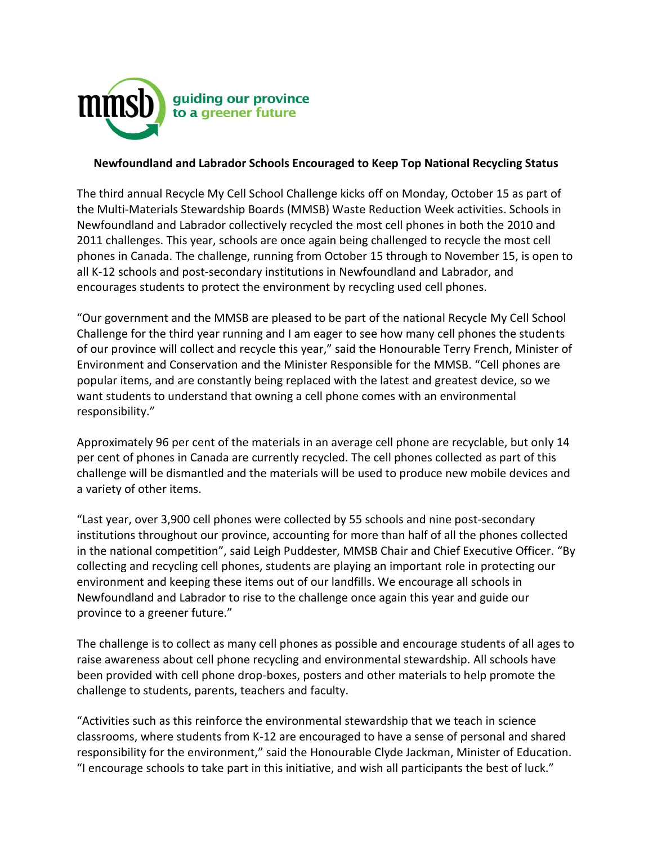

## **Newfoundland and Labrador Schools Encouraged to Keep Top National Recycling Status**

The third annual Recycle My Cell School Challenge kicks off on Monday, October 15 as part of the Multi-Materials Stewardship Boards (MMSB) Waste Reduction Week activities. Schools in Newfoundland and Labrador collectively recycled the most cell phones in both the 2010 and 2011 challenges. This year, schools are once again being challenged to recycle the most cell phones in Canada. The challenge, running from October 15 through to November 15, is open to all K-12 schools and post-secondary institutions in Newfoundland and Labrador, and encourages students to protect the environment by recycling used cell phones.

"Our government and the MMSB are pleased to be part of the national Recycle My Cell School Challenge for the third year running and I am eager to see how many cell phones the students of our province will collect and recycle this year," said the Honourable Terry French, Minister of Environment and Conservation and the Minister Responsible for the MMSB. "Cell phones are popular items, and are constantly being replaced with the latest and greatest device, so we want students to understand that owning a cell phone comes with an environmental responsibility."

Approximately 96 per cent of the materials in an average cell phone are recyclable, but only 14 per cent of phones in Canada are currently recycled. The cell phones collected as part of this challenge will be dismantled and the materials will be used to produce new mobile devices and a variety of other items.

"Last year, over 3,900 cell phones were collected by 55 schools and nine post-secondary institutions throughout our province, accounting for more than half of all the phones collected in the national competition", said Leigh Puddester, MMSB Chair and Chief Executive Officer. "By collecting and recycling cell phones, students are playing an important role in protecting our environment and keeping these items out of our landfills. We encourage all schools in Newfoundland and Labrador to rise to the challenge once again this year and guide our province to a greener future."

The challenge is to collect as many cell phones as possible and encourage students of all ages to raise awareness about cell phone recycling and environmental stewardship. All schools have been provided with cell phone drop-boxes, posters and other materials to help promote the challenge to students, parents, teachers and faculty.

"Activities such as this reinforce the environmental stewardship that we teach in science classrooms, where students from K-12 are encouraged to have a sense of personal and shared responsibility for the environment," said the Honourable Clyde Jackman, Minister of Education. "I encourage schools to take part in this initiative, and wish all participants the best of luck."